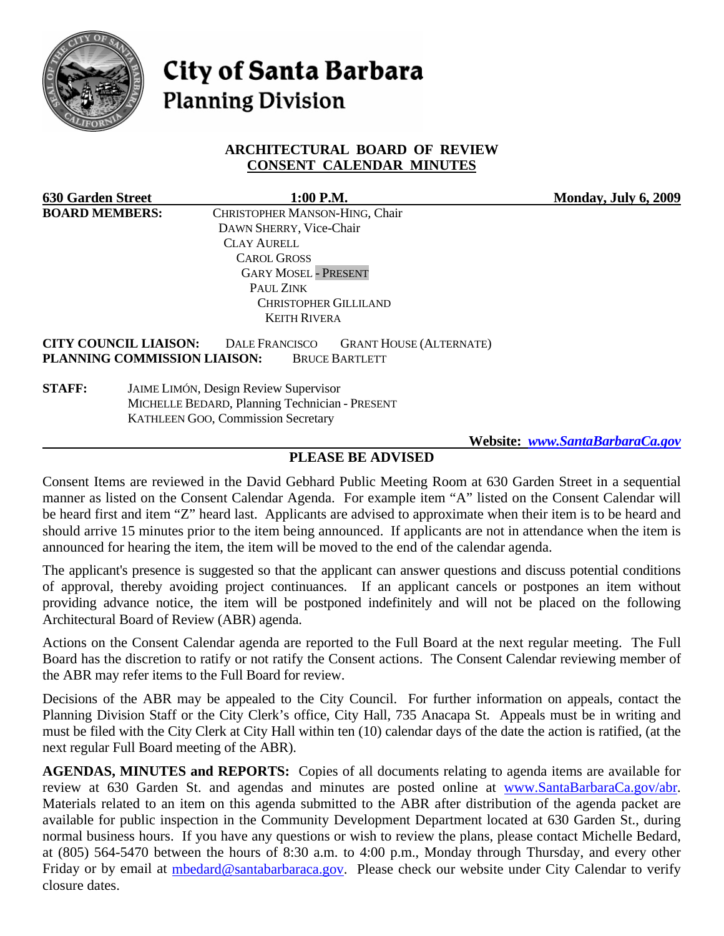

# **City of Santa Barbara Planning Division**

# **ARCHITECTURAL BOARD OF REVIEW CONSENT CALENDAR MINUTES**

| <b>630 Garden Street</b> |                                                | $1:00$ P.M.                               |                                | Monday, July 6, 2009 |
|--------------------------|------------------------------------------------|-------------------------------------------|--------------------------------|----------------------|
| <b>BOARD MEMBERS:</b>    |                                                | CHRISTOPHER MANSON-HING, Chair            |                                |                      |
|                          |                                                | DAWN SHERRY, Vice-Chair                   |                                |                      |
|                          |                                                | <b>CLAY AURELL</b>                        |                                |                      |
|                          |                                                | <b>CAROL GROSS</b>                        |                                |                      |
|                          |                                                | <b>GARY MOSEL - PRESENT</b>               |                                |                      |
|                          |                                                | PAUL ZINK                                 |                                |                      |
|                          |                                                | <b>CHRISTOPHER GILLILAND</b>              |                                |                      |
|                          |                                                | <b>KEITH RIVERA</b>                       |                                |                      |
|                          | <b>CITY COUNCIL LIAISON:</b>                   | <b>DALE FRANCISCO</b>                     | <b>GRANT HOUSE (ALTERNATE)</b> |                      |
|                          | PLANNING COMMISSION LIAISON:                   | <b>BRUCE BARTLETT</b>                     |                                |                      |
| <b>STAFF:</b>            | JAIME LIMÓN, Design Review Supervisor          |                                           |                                |                      |
|                          | MICHELLE BEDARD, Planning Technician - PRESENT |                                           |                                |                      |
|                          |                                                | <b>KATHLEEN GOO, Commission Secretary</b> |                                |                      |
|                          |                                                |                                           |                                |                      |

# **Website:** *[www.SantaBarbaraCa.gov](http://www.santabarbaraca.gov/)*

## **PLEASE BE ADVISED**

Consent Items are reviewed in the David Gebhard Public Meeting Room at 630 Garden Street in a sequential manner as listed on the Consent Calendar Agenda. For example item "A" listed on the Consent Calendar will be heard first and item "Z" heard last. Applicants are advised to approximate when their item is to be heard and should arrive 15 minutes prior to the item being announced. If applicants are not in attendance when the item is announced for hearing the item, the item will be moved to the end of the calendar agenda.

The applicant's presence is suggested so that the applicant can answer questions and discuss potential conditions of approval, thereby avoiding project continuances. If an applicant cancels or postpones an item without providing advance notice, the item will be postponed indefinitely and will not be placed on the following Architectural Board of Review (ABR) agenda.

Actions on the Consent Calendar agenda are reported to the Full Board at the next regular meeting. The Full Board has the discretion to ratify or not ratify the Consent actions. The Consent Calendar reviewing member of the ABR may refer items to the Full Board for review.

Decisions of the ABR may be appealed to the City Council. For further information on appeals, contact the Planning Division Staff or the City Clerk's office, City Hall, 735 Anacapa St. Appeals must be in writing and must be filed with the City Clerk at City Hall within ten (10) calendar days of the date the action is ratified, (at the next regular Full Board meeting of the ABR).

**AGENDAS, MINUTES and REPORTS:** Copies of all documents relating to agenda items are available for review at 630 Garden St. and agendas and minutes are posted online at [www.SantaBarbaraCa.gov/abr.](http://www.santabarbaraca.gov/abr) Materials related to an item on this agenda submitted to the ABR after distribution of the agenda packet are available for public inspection in the Community Development Department located at 630 Garden St., during normal business hours. If you have any questions or wish to review the plans, please contact Michelle Bedard, at (805) 564-5470 between the hours of 8:30 a.m. to 4:00 p.m., Monday through Thursday, and every other Friday or by email at [mbedard@santabarbaraca.gov.](mailto:mbedard@santabarbaraca.gov) Please check our website under City Calendar to verify closure dates.